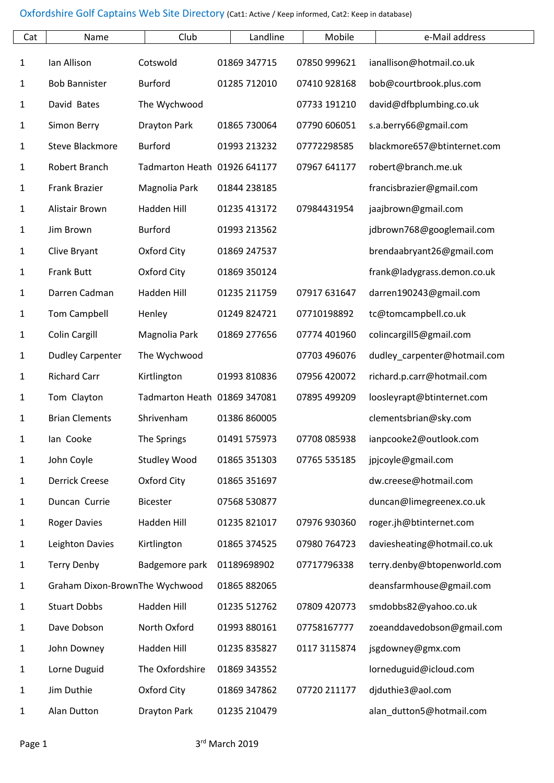| Cat          | Name                           | Club                         | Landline     | Mobile       | e-Mail address               |
|--------------|--------------------------------|------------------------------|--------------|--------------|------------------------------|
| $\mathbf{1}$ | Ian Allison                    | Cotswold                     | 01869 347715 | 07850 999621 | ianallison@hotmail.co.uk     |
| $\mathbf{1}$ | <b>Bob Bannister</b>           | <b>Burford</b>               | 01285 712010 | 07410 928168 | bob@courtbrook.plus.com      |
| 1            | David Bates                    | The Wychwood                 |              | 07733 191210 | david@dfbplumbing.co.uk      |
| $\mathbf{1}$ | Simon Berry                    | <b>Drayton Park</b>          | 01865 730064 | 07790 606051 | s.a.berry66@gmail.com        |
| 1            | <b>Steve Blackmore</b>         | <b>Burford</b>               | 01993 213232 | 07772298585  | blackmore657@btinternet.com  |
| $\mathbf{1}$ | Robert Branch                  | Tadmarton Heath 01926 641177 |              | 07967 641177 | robert@branch.me.uk          |
| 1            | Frank Brazier                  | Magnolia Park                | 01844 238185 |              | francisbrazier@gmail.com     |
| $\mathbf{1}$ | Alistair Brown                 | Hadden Hill                  | 01235 413172 | 07984431954  | jaajbrown@gmail.com          |
| $\mathbf{1}$ | Jim Brown                      | <b>Burford</b>               | 01993 213562 |              | jdbrown768@googlemail.com    |
| $\mathbf{1}$ | Clive Bryant                   | Oxford City                  | 01869 247537 |              | brendaabryant26@gmail.com    |
| $\mathbf{1}$ | <b>Frank Butt</b>              | Oxford City                  | 01869 350124 |              | frank@ladygrass.demon.co.uk  |
| 1            | Darren Cadman                  | Hadden Hill                  | 01235 211759 | 07917 631647 | darren190243@gmail.com       |
| 1            | <b>Tom Campbell</b>            | Henley                       | 01249 824721 | 07710198892  | tc@tomcampbell.co.uk         |
| $\mathbf{1}$ | <b>Colin Cargill</b>           | Magnolia Park                | 01869 277656 | 07774 401960 | colincargill5@gmail.com      |
| 1            | <b>Dudley Carpenter</b>        | The Wychwood                 |              | 07703 496076 | dudley_carpenter@hotmail.com |
| $\mathbf{1}$ | <b>Richard Carr</b>            | Kirtlington                  | 01993 810836 | 07956 420072 | richard.p.carr@hotmail.com   |
| $\mathbf{1}$ | Tom Clayton                    | Tadmarton Heath 01869 347081 |              | 07895 499209 | loosleyrapt@btinternet.com   |
| $\mathbf{1}$ | <b>Brian Clements</b>          | Shrivenham                   | 01386 860005 |              | clementsbrian@sky.com        |
| 1            | lan Cooke                      | The Springs                  | 01491 575973 | 07708 085938 | ianpcooke2@outlook.com       |
| $\mathbf{1}$ | John Coyle                     | <b>Studley Wood</b>          | 01865 351303 | 07765 535185 | jpjcoyle@gmail.com           |
| $\mathbf{1}$ | <b>Derrick Creese</b>          | Oxford City                  | 01865 351697 |              | dw.creese@hotmail.com        |
| 1            | Duncan Currie                  | <b>Bicester</b>              | 07568 530877 |              | duncan@limegreenex.co.uk     |
| $\mathbf{1}$ | <b>Roger Davies</b>            | Hadden Hill                  | 01235 821017 | 07976 930360 | roger.jh@btinternet.com      |
| $\mathbf{1}$ | Leighton Davies                | Kirtlington                  | 01865 374525 | 07980 764723 | daviesheating@hotmail.co.uk  |
| 1            | <b>Terry Denby</b>             | Badgemore park               | 01189698902  | 07717796338  | terry.denby@btopenworld.com  |
| $\mathbf{1}$ | Graham Dixon-BrownThe Wychwood |                              | 01865 882065 |              | deansfarmhouse@gmail.com     |
| 1            | <b>Stuart Dobbs</b>            | Hadden Hill                  | 01235 512762 | 07809 420773 | smdobbs82@yahoo.co.uk        |
| $\mathbf{1}$ | Dave Dobson                    | North Oxford                 | 01993 880161 | 07758167777  | zoeanddavedobson@gmail.com   |
| 1            | John Downey                    | Hadden Hill                  | 01235 835827 | 0117 3115874 | jsgdowney@gmx.com            |
| $\mathbf{1}$ | Lorne Duguid                   | The Oxfordshire              | 01869 343552 |              | lorneduguid@icloud.com       |
| $\mathbf{1}$ | Jim Duthie                     | Oxford City                  | 01869 347862 | 07720 211177 | djduthie3@aol.com            |
| $\mathbf{1}$ | Alan Dutton                    | <b>Drayton Park</b>          | 01235 210479 |              | alan_dutton5@hotmail.com     |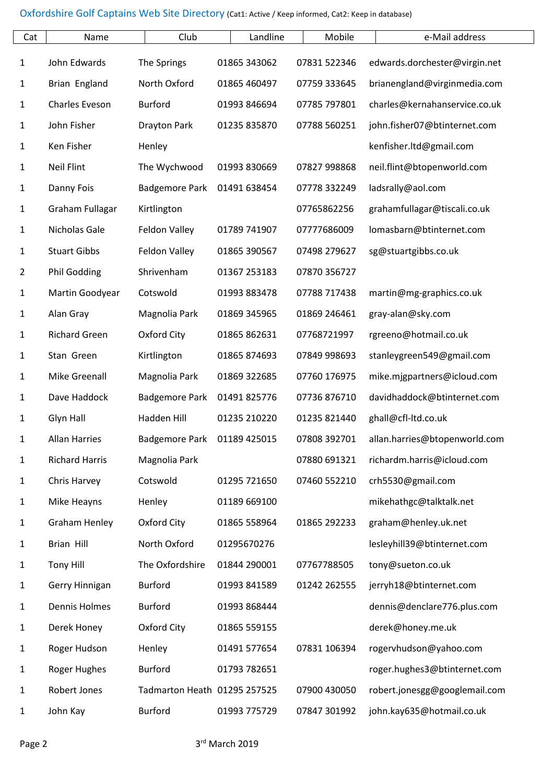| Cat          | Name                  | Club                         | Landline     | Mobile       | e-Mail address                |
|--------------|-----------------------|------------------------------|--------------|--------------|-------------------------------|
| $\mathbf{1}$ | John Edwards          | The Springs                  | 01865 343062 | 07831 522346 | edwards.dorchester@virgin.net |
| 1            | Brian England         | North Oxford                 | 01865 460497 | 07759 333645 | brianengland@virginmedia.com  |
| $\mathbf{1}$ | Charles Eveson        | <b>Burford</b>               | 01993 846694 | 07785 797801 | charles@kernahanservice.co.uk |
| 1            | John Fisher           | <b>Drayton Park</b>          | 01235 835870 | 07788 560251 | john.fisher07@btinternet.com  |
| 1            | Ken Fisher            | Henley                       |              |              | kenfisher.ltd@gmail.com       |
| 1            | <b>Neil Flint</b>     | The Wychwood                 | 01993 830669 | 07827 998868 | neil.flint@btopenworld.com    |
| 1            | Danny Fois            | <b>Badgemore Park</b>        | 01491 638454 | 07778 332249 | ladsrally@aol.com             |
| 1            | Graham Fullagar       | Kirtlington                  |              | 07765862256  | grahamfullagar@tiscali.co.uk  |
| 1            | Nicholas Gale         | Feldon Valley                | 01789 741907 | 07777686009  | lomasbarn@btinternet.com      |
| 1            | <b>Stuart Gibbs</b>   | Feldon Valley                | 01865 390567 | 07498 279627 | sg@stuartgibbs.co.uk          |
| 2            | <b>Phil Godding</b>   | Shrivenham                   | 01367 253183 | 07870 356727 |                               |
| 1            | Martin Goodyear       | Cotswold                     | 01993 883478 | 07788 717438 | martin@mg-graphics.co.uk      |
| 1            | Alan Gray             | Magnolia Park                | 01869 345965 | 01869 246461 | gray-alan@sky.com             |
| $\mathbf{1}$ | <b>Richard Green</b>  | Oxford City                  | 01865 862631 | 07768721997  | rgreeno@hotmail.co.uk         |
| 1            | Stan Green            | Kirtlington                  | 01865 874693 | 07849 998693 | stanleygreen549@gmail.com     |
| 1            | Mike Greenall         | Magnolia Park                | 01869 322685 | 07760 176975 | mike.mjgpartners@icloud.com   |
| $\mathbf{1}$ | Dave Haddock          | <b>Badgemore Park</b>        | 01491 825776 | 07736 876710 | davidhaddock@btinternet.com   |
| $\mathbf{1}$ | Glyn Hall             | Hadden Hill                  | 01235 210220 | 01235 821440 | ghall@cfl-ltd.co.uk           |
| 1            | <b>Allan Harries</b>  | <b>Badgemore Park</b>        | 01189 425015 | 07808 392701 | allan.harries@btopenworld.com |
| $\mathbf{1}$ | <b>Richard Harris</b> | Magnolia Park                |              | 07880 691321 | richardm.harris@icloud.com    |
| 1            | Chris Harvey          | Cotswold                     | 01295 721650 | 07460 552210 | crh5530@gmail.com             |
| 1            | Mike Heayns           | Henley                       | 01189 669100 |              | mikehathgc@talktalk.net       |
| $\mathbf{1}$ | <b>Graham Henley</b>  | Oxford City                  | 01865 558964 | 01865 292233 | graham@henley.uk.net          |
| 1            | Brian Hill            | North Oxford                 | 01295670276  |              | lesleyhill39@btinternet.com   |
| $\mathbf{1}$ | <b>Tony Hill</b>      | The Oxfordshire              | 01844 290001 | 07767788505  | tony@sueton.co.uk             |
| 1            | Gerry Hinnigan        | <b>Burford</b>               | 01993 841589 | 01242 262555 | jerryh18@btinternet.com       |
| 1            | <b>Dennis Holmes</b>  | <b>Burford</b>               | 01993 868444 |              | dennis@denclare776.plus.com   |
| 1            | Derek Honey           | Oxford City                  | 01865 559155 |              | derek@honey.me.uk             |
| 1            | Roger Hudson          | Henley                       | 01491 577654 | 07831 106394 | rogervhudson@yahoo.com        |
| 1            | Roger Hughes          | <b>Burford</b>               | 01793 782651 |              | roger.hughes3@btinternet.com  |
| 1            | Robert Jones          | Tadmarton Heath 01295 257525 |              | 07900 430050 | robert.jonesgg@googlemail.com |
| $\mathbf{1}$ | John Kay              | <b>Burford</b>               | 01993 775729 | 07847 301992 | john.kay635@hotmail.co.uk     |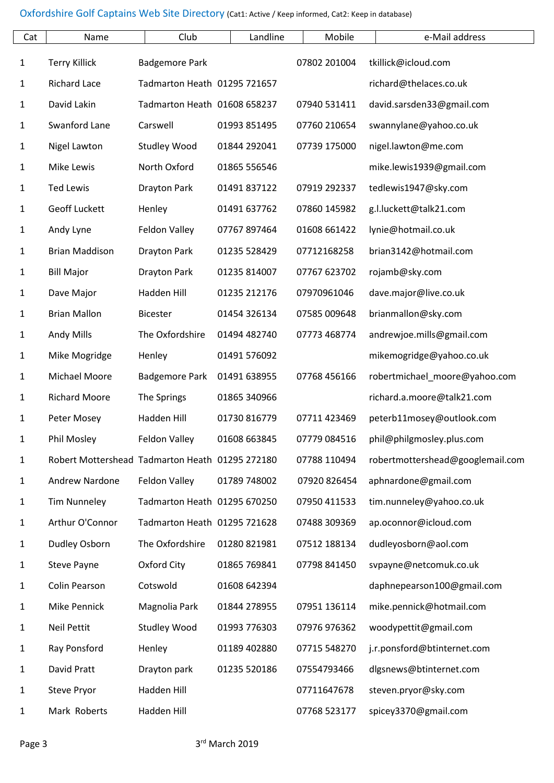| Cat          | Name                                            | Club                         | Landline     | Mobile       | e-Mail address                   |
|--------------|-------------------------------------------------|------------------------------|--------------|--------------|----------------------------------|
| $\mathbf{1}$ | <b>Terry Killick</b>                            | <b>Badgemore Park</b>        |              | 07802 201004 | tkillick@icloud.com              |
| $\mathbf{1}$ | <b>Richard Lace</b>                             | Tadmarton Heath 01295 721657 |              |              | richard@thelaces.co.uk           |
| $\mathbf{1}$ | David Lakin                                     | Tadmarton Heath 01608 658237 |              | 07940 531411 | david.sarsden33@gmail.com        |
| $\mathbf{1}$ | Swanford Lane                                   | Carswell                     | 01993 851495 | 07760 210654 | swannylane@yahoo.co.uk           |
| $\mathbf{1}$ | Nigel Lawton                                    | <b>Studley Wood</b>          | 01844 292041 | 07739 175000 | nigel.lawton@me.com              |
| $\mathbf{1}$ | Mike Lewis                                      | North Oxford                 | 01865 556546 |              | mike.lewis1939@gmail.com         |
| $\mathbf{1}$ | <b>Ted Lewis</b>                                | <b>Drayton Park</b>          | 01491 837122 | 07919 292337 | tedlewis1947@sky.com             |
| $\mathbf{1}$ | Geoff Luckett                                   | Henley                       | 01491 637762 | 07860 145982 | g.l.luckett@talk21.com           |
| $\mathbf{1}$ | Andy Lyne                                       | Feldon Valley                | 07767 897464 | 01608 661422 | lynie@hotmail.co.uk              |
| $\mathbf{1}$ | <b>Brian Maddison</b>                           | <b>Drayton Park</b>          | 01235 528429 | 07712168258  | brian3142@hotmail.com            |
| $\mathbf{1}$ | <b>Bill Major</b>                               | <b>Drayton Park</b>          | 01235 814007 | 07767 623702 | rojamb@sky.com                   |
| $\mathbf{1}$ | Dave Major                                      | Hadden Hill                  | 01235 212176 | 07970961046  | dave.major@live.co.uk            |
| $\mathbf{1}$ | <b>Brian Mallon</b>                             | <b>Bicester</b>              | 01454 326134 | 07585 009648 | brianmallon@sky.com              |
| $\mathbf{1}$ | <b>Andy Mills</b>                               | The Oxfordshire              | 01494 482740 | 07773 468774 | andrewjoe.mills@gmail.com        |
| $\mathbf{1}$ | Mike Mogridge                                   | Henley                       | 01491 576092 |              | mikemogridge@yahoo.co.uk         |
| $\mathbf{1}$ | Michael Moore                                   | <b>Badgemore Park</b>        | 01491 638955 | 07768 456166 | robertmichael_moore@yahoo.com    |
| $\mathbf{1}$ | <b>Richard Moore</b>                            | The Springs                  | 01865 340966 |              | richard.a.moore@talk21.com       |
| $\mathbf{1}$ | Peter Mosey                                     | Hadden Hill                  | 01730 816779 | 07711 423469 | peterb11mosey@outlook.com        |
| 1            | Phil Mosley                                     | Feldon Valley                | 01608 663845 | 07779 084516 | phil@philgmosley.plus.com        |
| $\mathbf{1}$ | Robert Mottershead Tadmarton Heath 01295 272180 |                              |              | 07788 110494 | robertmottershead@googlemail.com |
| $\mathbf{1}$ | Andrew Nardone                                  | Feldon Valley                | 01789 748002 | 07920 826454 | aphnardone@gmail.com             |
| $\mathbf{1}$ | <b>Tim Nunneley</b>                             | Tadmarton Heath 01295 670250 |              | 07950 411533 | tim.nunneley@yahoo.co.uk         |
| $\mathbf{1}$ | Arthur O'Connor                                 | Tadmarton Heath 01295 721628 |              | 07488 309369 | ap.oconnor@icloud.com            |
| $\mathbf{1}$ | Dudley Osborn                                   | The Oxfordshire              | 01280 821981 | 07512 188134 | dudleyosborn@aol.com             |
| $\mathbf{1}$ | Steve Payne                                     | Oxford City                  | 01865 769841 | 07798 841450 | svpayne@netcomuk.co.uk           |
| $\mathbf{1}$ | Colin Pearson                                   | Cotswold                     | 01608 642394 |              | daphnepearson100@gmail.com       |
| $\mathbf{1}$ | Mike Pennick                                    | Magnolia Park                | 01844 278955 | 07951 136114 | mike.pennick@hotmail.com         |
| $\mathbf{1}$ | <b>Neil Pettit</b>                              | <b>Studley Wood</b>          | 01993 776303 | 07976 976362 | woodypettit@gmail.com            |
| 1            | Ray Ponsford                                    | Henley                       | 01189 402880 | 07715 548270 | j.r.ponsford@btinternet.com      |
| $\mathbf{1}$ | David Pratt                                     | Drayton park                 | 01235 520186 | 07554793466  | dlgsnews@btinternet.com          |
| $\mathbf{1}$ | Steve Pryor                                     | Hadden Hill                  |              | 07711647678  | steven.pryor@sky.com             |
| $\mathbf{1}$ | Mark Roberts                                    | Hadden Hill                  |              | 07768 523177 | spicey3370@gmail.com             |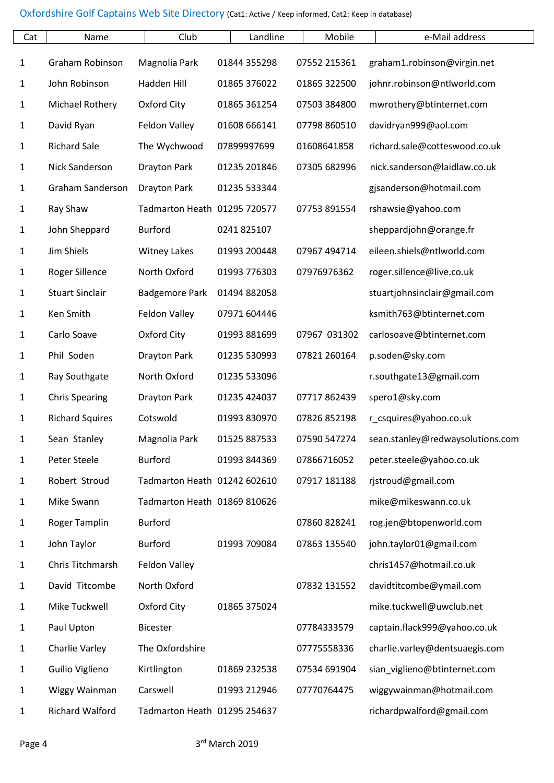| Cat          | Name                   | Club                         | Landline     | Mobile       | e-Mail address                   |
|--------------|------------------------|------------------------------|--------------|--------------|----------------------------------|
| $\mathbf{1}$ | Graham Robinson        | Magnolia Park                | 01844 355298 | 07552 215361 | graham1.robinson@virgin.net      |
| $\mathbf{1}$ | John Robinson          | Hadden Hill                  | 01865 376022 | 01865 322500 | johnr.robinson@ntlworld.com      |
| $\mathbf{1}$ | Michael Rothery        | Oxford City                  | 01865 361254 | 07503 384800 | mwrothery@btinternet.com         |
| $\mathbf{1}$ | David Ryan             | Feldon Valley                | 01608 666141 | 07798 860510 | davidryan999@aol.com             |
| $\mathbf{1}$ | <b>Richard Sale</b>    | The Wychwood                 | 07899997699  | 01608641858  | richard.sale@cotteswood.co.uk    |
| $\mathbf{1}$ | Nick Sanderson         | <b>Drayton Park</b>          | 01235 201846 | 07305 682996 | nick.sanderson@laidlaw.co.uk     |
| $\mathbf{1}$ | Graham Sanderson       | <b>Drayton Park</b>          | 01235 533344 |              | gjsanderson@hotmail.com          |
| $\mathbf{1}$ | Ray Shaw               | Tadmarton Heath 01295 720577 |              | 07753 891554 | rshawsie@yahoo.com               |
| $\mathbf{1}$ | John Sheppard          | <b>Burford</b>               | 0241 825107  |              | sheppardjohn@orange.fr           |
| $\mathbf{1}$ | Jim Shiels             | <b>Witney Lakes</b>          | 01993 200448 | 07967 494714 | eileen.shiels@ntlworld.com       |
| $\mathbf{1}$ | <b>Roger Sillence</b>  | North Oxford                 | 01993 776303 | 07976976362  | roger.sillence@live.co.uk        |
| $\mathbf{1}$ | <b>Stuart Sinclair</b> | <b>Badgemore Park</b>        | 01494 882058 |              | stuartjohnsinclair@gmail.com     |
| $\mathbf{1}$ | Ken Smith              | Feldon Valley                | 07971 604446 |              | ksmith763@btinternet.com         |
| $\mathbf{1}$ | Carlo Soave            | Oxford City                  | 01993 881699 | 07967 031302 | carlosoave@btinternet.com        |
| $\mathbf{1}$ | Phil Soden             | <b>Drayton Park</b>          | 01235 530993 | 07821 260164 | p.soden@sky.com                  |
| $\mathbf{1}$ | Ray Southgate          | North Oxford                 | 01235 533096 |              | r.southgate13@gmail.com          |
| $\mathbf{1}$ | <b>Chris Spearing</b>  | <b>Drayton Park</b>          | 01235 424037 | 07717862439  | spero1@sky.com                   |
| $\mathbf{1}$ | <b>Richard Squires</b> | Cotswold                     | 01993 830970 | 07826 852198 | r_csquires@yahoo.co.uk           |
| 1            | Sean Stanley           | Magnolia Park                | 01525 887533 | 07590 547274 | sean.stanley@redwaysolutions.com |
| $\mathbf{1}$ | Peter Steele           | <b>Burford</b>               | 01993 844369 | 07866716052  | peter.steele@yahoo.co.uk         |
| $\mathbf{1}$ | Robert Stroud          | Tadmarton Heath 01242 602610 |              | 07917 181188 | rjstroud@gmail.com               |
| 1            | Mike Swann             | Tadmarton Heath 01869 810626 |              |              | mike@mikeswann.co.uk             |
| $\mathbf{1}$ | Roger Tamplin          | <b>Burford</b>               |              | 07860 828241 | rog.jen@btopenworld.com          |
| 1            | John Taylor            | <b>Burford</b>               | 01993 709084 | 07863 135540 | john.taylor01@gmail.com          |
| 1            | Chris Titchmarsh       | Feldon Valley                |              |              | chris1457@hotmail.co.uk          |
| 1            | David Titcombe         | North Oxford                 |              | 07832 131552 | davidtitcombe@ymail.com          |
| 1            | Mike Tuckwell          | Oxford City                  | 01865 375024 |              | mike.tuckwell@uwclub.net         |
| 1            | Paul Upton             | <b>Bicester</b>              |              | 07784333579  | captain.flack999@yahoo.co.uk     |
| $\mathbf{1}$ | Charlie Varley         | The Oxfordshire              |              | 07775558336  | charlie.varley@dentsuaegis.com   |
| 1            | Guilio Viglieno        | Kirtlington                  | 01869 232538 | 07534 691904 | sian_viglieno@btinternet.com     |
| $\mathbf{1}$ | Wiggy Wainman          | Carswell                     | 01993 212946 | 07770764475  | wiggywainman@hotmail.com         |
| $\mathbf{1}$ | <b>Richard Walford</b> | Tadmarton Heath 01295 254637 |              |              | richardpwalford@gmail.com        |